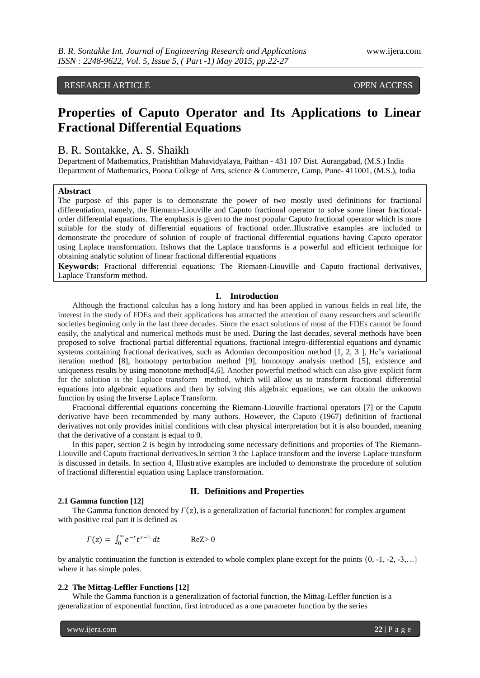# RESEARCH ARTICLE OPEN ACCESS

# **Properties of Caputo Operator and Its Applications to Linear Fractional Differential Equations**

# B. R. Sontakke, A. S. Shaikh

Department of Mathematics, Pratishthan Mahavidyalaya, Paithan - 431 107 Dist. Aurangabad, (M.S.) India Department of Mathematics, Poona College of Arts, science & Commerce, Camp, Pune- 411001, (M.S.), India

# **Abstract**

The purpose of this paper is to demonstrate the power of two mostly used definitions for fractional differentiation, namely, the Riemann-Liouville and Caputo fractional operator to solve some linear fractionalorder differential equations. The emphasis is given to the most popular Caputo fractional operator which is more suitable for the study of differential equations of fractional order..Illustrative examples are included to demonstrate the procedure of solution of couple of fractional differential equations having Caputo operator using Laplace transformation. Itshows that the Laplace transforms is a powerful and efficient technique for obtaining analytic solution of linear fractional differential equations

**Keywords:** Fractional differential equations; The Riemann-Liouville and Caputo fractional derivatives, Laplace Transform method.

# **I. Introduction**

Although the fractional calculus has a long history and has been applied in various fields in real life, the interest in the study of FDEs and their applications has attracted the attention of many researchers and scientific societies beginning only in the last three decades. Since the exact solutions of most of the FDEs cannot be found easily, the analytical and numerical methods must be used. During the last decades, several methods have been proposed to solve fractional partial differential equations, fractional integro-differential equations and dynamic systems containing fractional derivatives, such as Adomian decomposition method [1, 2, 3 ], He's variational iteration method [8], homotopy perturbation method [9], homotopy analysis method [5], existence and uniqueness results by using monotone method[4,6], Another powerful method which can also give explicit form for the solution is the Laplace transform method, which will allow us to transform fractional differential equations into algebraic equations and then by solving this algebraic equations, we can obtain the unknown function by using the Inverse Laplace Transform.

Fractional differential equations concerning the Riemann-Liouville fractional operators [7] or the Caputo derivative have been recommended by many authors. However, the Caputo (1967) definition of fractional derivatives not only provides initial conditions with clear physical interpretation but it is also bounded, meaning that the derivative of a constant is equal to 0.

In this paper, section 2 is begin by introducing some necessary definitions and properties of The Riemann-Liouville and Caputo fractional derivatives.In section 3 the Laplace transform and the inverse Laplace transform is discussed in details. In section 4, Illustrative examples are included to demonstrate the procedure of solution of fractional differential equation using Laplace transformation.

# **II. Definitions and Properties**

# **2.1 Gamma function [12]**

The Gamma function denoted by  $\Gamma(z)$ , is a generalization of factorial functionn! for complex argument with positive real part it is defined as

$$
\Gamma(z) = \int_0^\infty e^{-t} t^{z-1} dt \qquad \text{ReZ} > 0
$$

by analytic continuation the function is extended to whole complex plane except for the points  $\{0, -1, -2, -3, ...\}$ where it has simple poles.

# **2.2 The Mittag-Leffler Functions [12]**

While the Gamma function is a generalization of factorial function, the Mittag-Leffler function is a generalization of exponential function, first introduced as a one parameter function by the series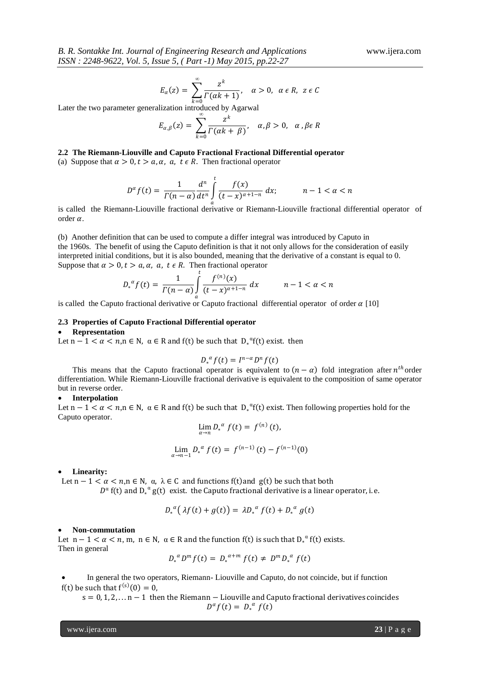$$
E_{\alpha}(z) = \sum_{k=0}^{\infty} \frac{z^k}{\Gamma(\alpha k + 1)}, \quad \alpha > 0, \ \alpha \in R, \ z \in C
$$

Later the two parameter generalization introduced by Agarwal

$$
E_{\alpha,\beta}(z) = \sum_{k=0}^{\infty} \frac{z^k}{\Gamma(\alpha k + \beta)}, \quad \alpha, \beta > 0, \quad \alpha, \beta \in R
$$

# **2.2 The Riemann-Liouville and Caputo Fractional Fractional Differential operator**

(a) Suppose that  $\alpha > 0$ ,  $t > a$ ,  $\alpha$ ,  $a$ ,  $t \in R$ . Then fractional operator

$$
D^{\alpha}f(t) = \frac{1}{\Gamma(n-\alpha)}\frac{d^n}{dt^n} \int\limits_{-\infty}^t \frac{f(x)}{(t-x)^{\alpha+1-n}} dx; \qquad n-1 < \alpha < n
$$

 is called the Riemann-Liouville fractional derivative or Riemann-Liouville fractional differential operator of order  $\alpha$ .

(b) Another definition that can be used to compute a differ integral was introduced by Caputo in the 1960s. The benefit of using the Caputo definition is that it not only allows for the consideration of easily interpreted initial conditions, but it is also bounded, meaning that the derivative of a constant is equal to 0. Suppose that  $\alpha > 0, t > a, \alpha, a, t \in R$ . Then fractional operator

$$
D_*^{\alpha}f(t) = \frac{1}{\Gamma(n-\alpha)} \int\limits_{0}^{t} \frac{f^{(n)}(x)}{(t-x)^{\alpha+1-n}} dx \qquad n-1 < \alpha < n
$$

is called the Caputo fractional derivative or Caputo fractional differential operator of order  $\alpha$  [10]

# **2.3 Properties of Caputo Fractional Differential operator**

#### **Representation**

Let  $n-1 < \alpha < n, n \in \mathbb{N}$ ,  $\alpha \in \mathbb{R}$  and  $f(t)$  be such that  $D_*^{\alpha}f(t)$  exist. then

$$
D_*^{\alpha}f(t)=I^{n-\alpha}D^nf(t)
$$

This means that the Caputo fractional operator is equivalent to  $(n - \alpha)$  fold integration after  $n^{th}$  order differentiation. While Riemann-Liouville fractional derivative is equivalent to the composition of same operator but in reverse order.

# **Interpolation**

Let  $n-1 < \alpha < n, n \in \mathbb{N}$ ,  $\alpha \in \mathbb{R}$  and  $f(t)$  be such that  $D_*^{\alpha}f(t)$  exist. Then following properties hold for the Caputo operator.

$$
\lim_{\alpha \to n} D_*^{\alpha} f(t) = f^{(n)}(t),
$$
  

$$
\lim_{\alpha \to n-1} D_*^{\alpha} f(t) = f^{(n-1)}(t) - f^{(n-1)}(0)
$$

#### **Linearity:**

Let  $n - 1 < \alpha < n, n \in N$ ,  $\alpha$ ,  $\lambda \in C$  and functions f(t) and g(t) be such that both

 $D^{\alpha}$  f(t) and  $D_*^{\alpha}$  g(t) exist. the Caputo fractional derivative is a linear operator, i. e.

$$
D_*^{\alpha}(\lambda f(t) + g(t)) = \lambda D_*^{\alpha} f(t) + D_*^{\alpha} g(t)
$$

#### **Non-commutation**

Let  $n-1 < \alpha < n$ , m,  $n \in \mathbb{N}$ ,  $\alpha \in \mathbb{R}$  and the function  $f(t)$  is such that  $D_*^{\alpha} f(t)$  exists. Then in general

$$
D_*^{\alpha}D^m f(t) = D_*^{\alpha+m} f(t) \neq D^m D_*^{\alpha} f(t)
$$

 In general the two operators, Riemann- Liouville and Caputo, do not coincide, but if function f(t) be such that  $f^{(s)}(0) = 0$ ,

s = 0, 1, 2, . . . n − 1 then the Riemann − Liouville and Caputo fractional derivatives coincides  $D^{\alpha} f(t) = D_*^{\alpha} f(t)$ 

www.ijera.com **23** | P a g e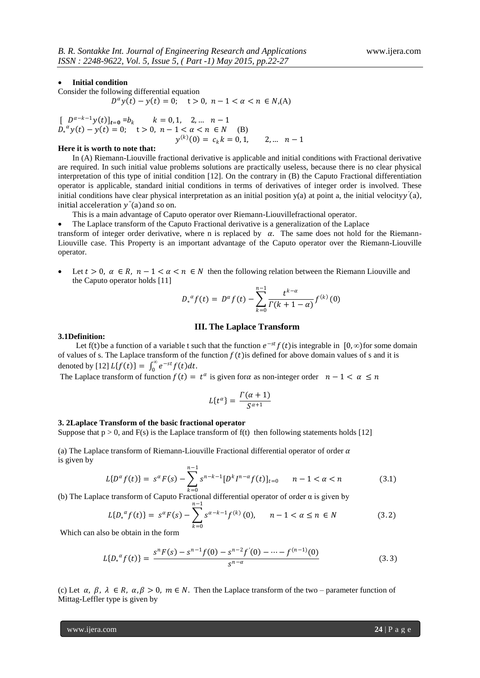# **Initial condition**

Consider the following differential equation

 $D^{\alpha} y(t) - y(t) = 0;$   $t > 0, n - 1 < \alpha < n \in N,$ (A)

 $[D^{\alpha-k-1}y(t)]_{t=0} = b_k$   $k = 0, 1, 2, ... n-1$  $\bar{D}_*^{\alpha} y(t) - y(t) = 0;$   $t > 0, n - 1 < \alpha < n \in N$  (B)  $y^{(k)}(0) = c_k k = 0, 1,$  2, ...  $n-1$ 

# **Here it is worth to note that:**

In (A) Riemann-Liouville fractional derivative is applicable and initial conditions with Fractional derivative are required. In such initial value problems solutions are practically useless, because there is no clear physical interpretation of this type of initial condition [12]. On the contrary in (B) the Caputo Fractional differentiation operator is applicable, standard initial conditions in terms of derivatives of integer order is involved. These initial conditions have clear physical interpretation as an initial position y(a) at point a, the initial velocityy'(a), initial acceleration y<sup>"</sup>(a) and so on.

This is a main advantage of Caputo operator over Riemann-Liouvillefractional operator.

The Laplace transform of the Caputo Fractional derivative is a generalization of the Laplace

transform of integer order derivative, where n is replaced by  $\alpha$ . The same does not hold for the Riemann-Liouville case. This Property is an important advantage of the Caputo operator over the Riemann-Liouville operator.

Let  $t > 0$ ,  $\alpha \in R$ ,  $n - 1 < \alpha < n \in N$  then the following relation between the Riemann Liouville and the Caputo operator holds [11]

$$
D_*^{\alpha} f(t) = D^{\alpha} f(t) - \sum_{k=0}^{n-1} \frac{t^{k-\alpha}}{\Gamma(k+1-\alpha)} f^{(k)}(0)
$$

# **III. The Laplace Transform**

# **3.1Definition:**

Let f(t) be a function of a variable t such that the function  $e^{-st} f(t)$  is integrable in  $[0, \infty)$  for some domain of values of s. The Laplace transform of the function  $f(t)$  is defined for above domain values of s and it is denoted by [12]  $L{f(t)} = \int_0^\infty e^{-st} f(t) dt$ . 0

The Laplace transform of function  $f(t) = t^{\alpha}$  is given for  $\alpha$  as non-integer order  $n - 1 < \alpha \le n$ 

$$
L\{t^{\alpha}\} = \frac{\Gamma(\alpha+1)}{S^{\alpha+1}}
$$

#### **3. 2Laplace Transform of the basic fractional operator**

Suppose that  $p > 0$ , and  $F(s)$  is the Laplace transform of  $f(t)$  then following statements holds [12]

(a) The Laplace transform of Riemann-Liouville Fractional differential operator of order  $\alpha$ is given by

$$
L\{D^{\alpha} f(t)\} = s^{\alpha} F(s) - \sum_{k=0}^{n-1} s^{n-k-1} [D^k I^{n-\alpha} f(t)]_{t=0} \qquad n-1 < \alpha < n \tag{3.1}
$$

(b) The Laplace transform of Caputo Fractional differential operator of order α is given by

$$
L\{D_*^{\alpha} f(t)\} = s^{\alpha} F(s) - \sum_{k=0}^{n-1} s^{\alpha - k - 1} f^{(k)}(0), \qquad n - 1 < \alpha \le n \in \mathbb{N} \tag{3.2}
$$

Which can also be obtain in the form

$$
L\{D_*^{\alpha} f(t)\} = \frac{s^n F(s) - s^{n-1} f(0) - s^{n-2} f'(0) - \dots - f^{(n-1)}(0)}{s^{n-\alpha}}
$$
(3.3)

(c) Let  $\alpha$ ,  $\beta$ ,  $\lambda \in R$ ,  $\alpha$ ,  $\beta > 0$ ,  $m \in N$ . Then the Laplace transform of the two – parameter function of Mittag-Leffler type is given by

www.ijera.com **24** | P a g e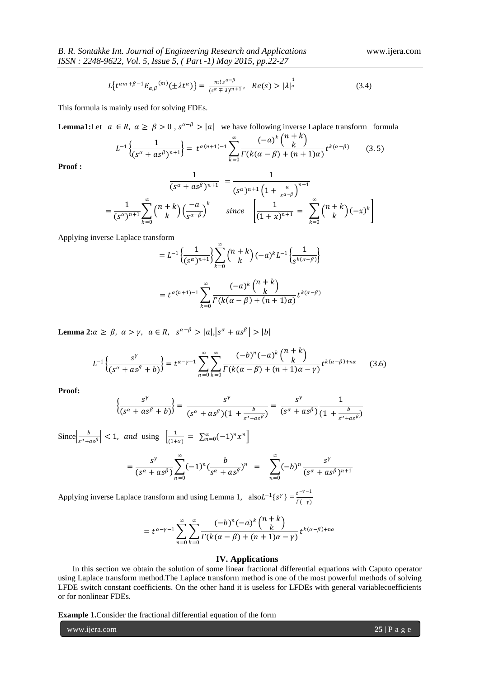$$
L\{t^{\alpha m+\beta-1}E_{\alpha,\beta}^{(m)}(\pm \lambda t^{\alpha})\} = \frac{m! \, s^{\alpha-\beta}}{(s^{\alpha} \mp \lambda)^{m+1}}, \quad Re(s) > |\lambda|^{\frac{1}{\alpha}} \tag{3.4}
$$

This formula is mainly used for solving FDEs.

**Lemma1:**Let  $a \in R$ ,  $\alpha \ge \beta > 0$ ,  $s^{\alpha-\beta} > |a|$  we have following inverse Laplace transform formula  $_{k}$  (n + k

$$
L^{-1}\left\{\frac{1}{(s^{\alpha}+as^{\beta})^{n+1}}\right\} = t^{\alpha(n+1)-1}\sum_{k=0}^{\infty}\frac{(-a)^{k}\binom{n+k}{k}}{\Gamma(k(\alpha-\beta)+(n+1)\alpha)}t^{k(\alpha-\beta)} \qquad (3.5)
$$

**Proof :**

$$
\frac{1}{(s^{\alpha} + as^{\beta})^{n+1}} = \frac{1}{(s^{\alpha})^{n+1} \left(1 + \frac{a}{s^{\alpha-\beta}}\right)^{n+1}} \\
= \frac{1}{(s^{\alpha})^{n+1}} \sum_{k=0}^{\infty} {n+k \choose k} \left(\frac{-a}{s^{\alpha-\beta}}\right)^{k} \quad \text{since} \quad \left[\frac{1}{(1+x)^{n+1}} = \sum_{k=0}^{\infty} {n+k \choose k} \left(-x\right)^{k}\right]
$$

Applying inverse Laplace transform

$$
= L^{-1} \left\{ \frac{1}{(s^{\alpha})^{n+1}} \right\} \sum_{k=0}^{\infty} {n+k \choose k} (-a)^k L^{-1} \left\{ \frac{1}{s^{k(\alpha-\beta)}} \right\}
$$

$$
= t^{\alpha(n+1)-1} \sum_{k=0}^{\infty} \frac{(-a)^k {n+k \choose k}}{\Gamma(k(\alpha-\beta) + (n+1)\alpha)} t^{k(\alpha-\beta)}
$$

**Lemma 2:**  $\alpha \ge \beta$ ,  $\alpha > \gamma$ ,  $a \in R$ ,  $s^{\alpha-\beta} > |a|, |s^{\alpha} + a s^{\beta}| > |b|$ 

$$
L^{-1}\left\{\frac{s^{\gamma}}{(s^{\alpha}+as^{\beta}+b)}\right\} = t^{\alpha-\gamma-1} \sum_{n=0}^{\infty} \sum_{k=0}^{\infty} \frac{(-b)^n (-a)^k \binom{n+k}{k}}{\Gamma(k(\alpha-\beta)+(n+1)\alpha-\gamma)} t^{k(\alpha-\beta)+n\alpha} \tag{3.6}
$$

**Proof:** 

$$
\left\{\frac{s^{\gamma}}{(s^{\alpha}+as^{\beta}+b)}\right\} = \frac{s^{\gamma}}{(s^{\alpha}+as^{\beta})(1+\frac{b}{s^{\alpha}+as^{\beta}})} = \frac{s^{\gamma}}{(s^{\alpha}+as^{\beta})} \frac{1}{(1+\frac{b}{s^{\alpha}+as^{\beta}})}
$$

Since  $\frac{b}{a}$  $\left| \frac{b}{s^{\alpha}+as^{\beta}} \right|$  < 1, and using  $\left| \frac{1}{(1+a)^{\beta}} \right|$  $\frac{1}{(1+x)} = \sum_{n=0}^{\infty} (-1)^n x^n$  $=\frac{s^{\gamma}}{\sqrt{a^{\gamma}}$  $\frac{s^{\gamma}}{(s^{\alpha}+as^{\beta})}\sum_{s}^{s}(-1)^{n}(\frac{b}{s^{\alpha}+a^{\beta}})$  $\frac{b}{s^{\alpha}+as^{\beta}})^n$ *∞*  $n=0$  $=$   $\left( -b\right) ^{n}$ *∞*  $n=0$  $s^{\gamma}$  $(s^{\alpha} + as^{\beta})^{n+1}$ 

Applying inverse Laplace transform and using Lemma 1,  $\text{ also } L^{-1}\{s^{\gamma}\} = \frac{t^{-\gamma - 1}}{R(s^{\gamma})}$  $\Gamma(-\gamma)$ 

$$
=t^{\alpha-\gamma-1}\sum_{n=0}^{\infty}\sum_{k=0}^{\infty}\frac{(-b)^{n}(-a)^{k}\binom{n+k}{k}}{\Gamma(k(\alpha-\beta)+(n+1)\alpha-\gamma)}t^{k(\alpha-\beta)+n\alpha}
$$

# **IV. Applications**

In this section we obtain the solution of some linear fractional differential equations with Caputo operator using Laplace transform method.The Laplace transform method is one of the most powerful methods of solving LFDE switch constant coefficients. On the other hand it is useless for LFDEs with general variablecoefficients or for nonlinear FDEs.

**Example 1.**Consider the fractional differential equation of the form

www.ijera.com **25** | P a g e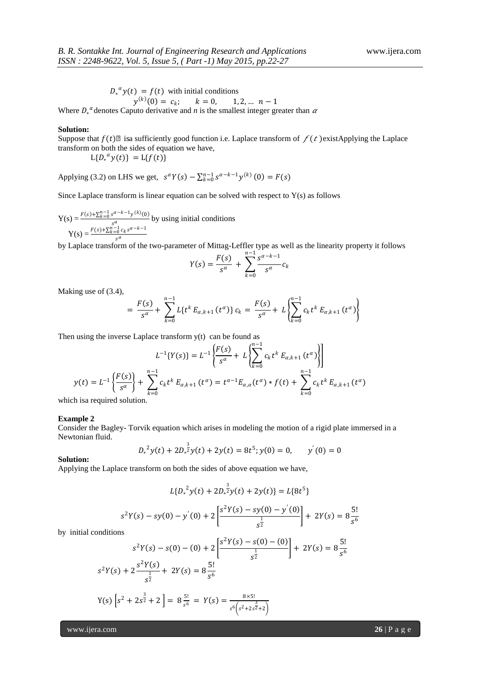$$
D_*^{\alpha} y(t) = f(t)
$$
 with initial conditions

 $y^{(k)}(0) = c_k; \quad k = 0, \quad 1, 2, \dots n-1$ Where  $D_*^{\alpha}$  denotes Caputo derivative and *n* is the smallest integer greater than  $\alpha$ 

# **Solution:**

Suppose that  $f(t)\mathbb{Z}$  isa sufficiently good function i.e. Laplace transform of  $f(t)$  existApplying the Laplace transform on both the sides of equation we have,

$$
L{D_*}^{\alpha}y(t) = L{f(t)}
$$

Applying (3.2) on LHS we get,  $s^{\alpha}Y(s) - \sum_{k=0}^{n-1} s^{\alpha-k-1}y^{(k)}(0) = F(s)$ 

Since Laplace transform is linear equation can be solved with respect to  $Y(s)$  as follows

Y(s) = 
$$
\frac{F(s) + \sum_{k=0}^{n-1} s^{\alpha-k-1} y^{(k)}(0)}{s^{\alpha}}
$$
 by using initial conditions  
Y(s) = 
$$
\frac{F(s) + \sum_{k=0}^{n-1} c_k s^{\alpha-k-1}}{s^{\alpha}}
$$

 $\sum_{s}^{s}$  by Laplace transform of the two-parameter of Mittag-Leffler type as well as the linearity property it follows

$$
Y(s) = \frac{F(s)}{s^{\alpha}} + \sum_{k=0}^{n-1} \frac{s^{\alpha-k-1}}{s^{\alpha}} c_k
$$

Making use of (3.4),

$$
= \frac{F(s)}{s^{\alpha}} + \sum_{k=0}^{n-1} L\{t^{k} E_{\alpha,k+1}(t^{\alpha})\} c_{k} = \frac{F(s)}{s^{\alpha}} + L\left\{\sum_{k=0}^{n-1} c_{k} t^{k} E_{\alpha,k+1}(t^{\alpha})\right\}
$$

Then using the inverse Laplace transform  $y(t)$  can be found as

$$
L^{-1}{Y(s)} = L^{-1}\left\{\frac{F(s)}{s^{\alpha}} + L\left\{\sum_{k=0}^{n-1} c_k t^k E_{\alpha,k+1}(t^{\alpha})\right\}\right\}
$$

$$
y(t) = L^{-1}\left\{\frac{F(s)}{s^{\alpha}}\right\} + \sum_{k=0}^{n-1} c_k t^k E_{\alpha,k+1}(t^{\alpha}) = t^{\alpha-1} E_{\alpha,\alpha}(t^{\alpha}) * f(t) + \sum_{k=0}^{n-1} c_k t^k E_{\alpha,k+1}(t^{\alpha})
$$

which isa required solution.

# **Example 2**

Consider the Bagley- Torvik equation which arises in modeling the motion of a rigid plate immersed in a Newtonian fluid.

$$
D_*^2 y(t) + 2D_*^{\frac{3}{2}} y(t) + 2y(t) = 8t^5; y(0) = 0, \qquad y'(0) = 0
$$

**Solution:**

Applying the Laplace transform on both the sides of above equation we have,

$$
L{D_*}^2 y(t) + 2D_*^{\frac{3}{2}} y(t) + 2y(t) = L{8t^5}
$$

$$
s^2 Y(s) - sy(0) - y'(0) + 2\left[\frac{s^2 Y(s) - sy(0) - y'(0)}{s^{\frac{1}{2}}}\right] + 2Y(s) = 8\frac{5!}{s^6}
$$

by initial conditions

$$
s^{2}Y(s) - s(0) - (0) + 2\left[\frac{s^{2}Y(s) - s(0) - (0)}{s^{\frac{1}{2}}}\right] + 2Y(s) = 8\frac{5!}{s^{6}}
$$
  

$$
s^{2}Y(s) + 2\frac{s^{2}Y(s)}{s^{\frac{1}{2}}} + 2Y(s) = 8\frac{5!}{s^{6}}
$$
  

$$
Y(s)\left[s^{2} + 2s^{\frac{3}{2}} + 2\right] = 8\frac{5!}{s^{6}} = Y(s) = \frac{8\times5!}{s^{6}\left(s^{2} + 2s^{\frac{3}{2}} + 2\right)}
$$

www.ijera.com **26** | P a g e